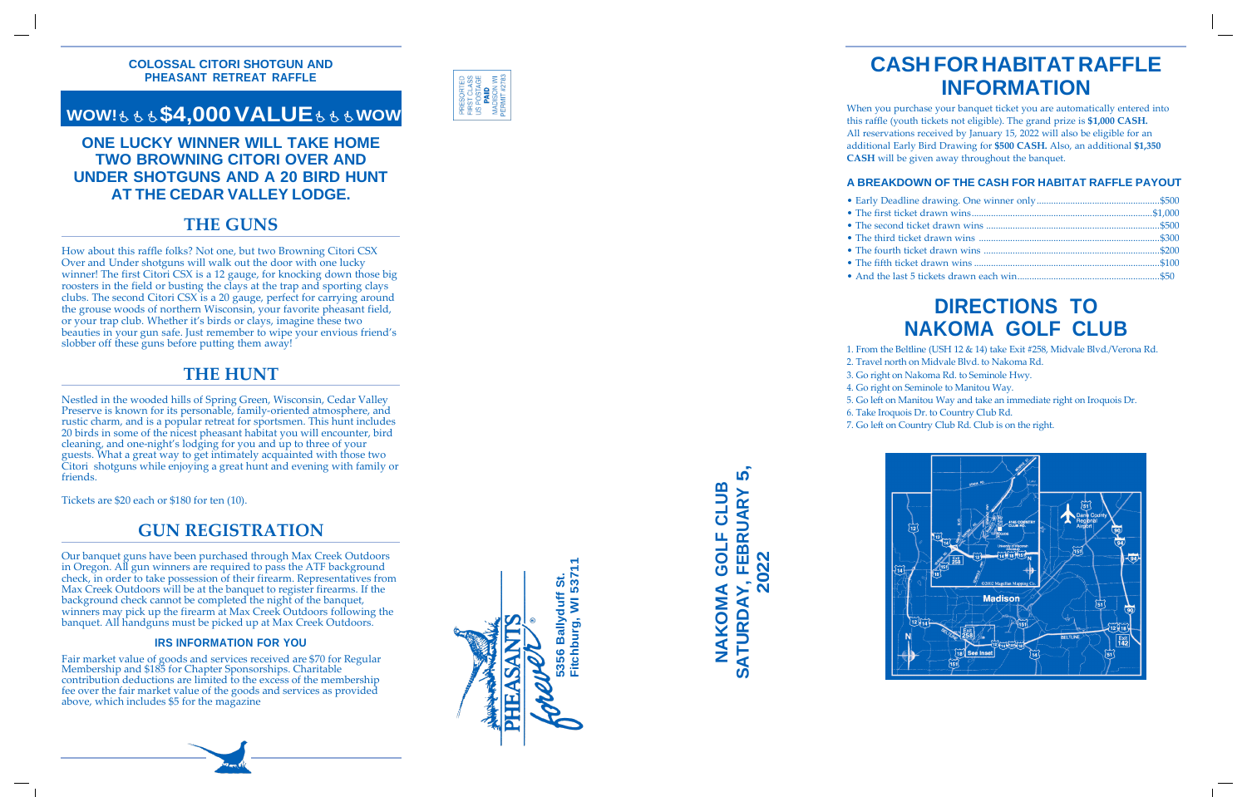

**SATURDAY, FEBRUARY 5, 10** <u>ന</u> **NAKOMA GOLF CLUB** CLUI FEBRUARY GOLF **2022** NAKOMA ATURDAY Ø

### **COLOSSAL CITORI SHOTGUN AND PHEASANT RETREAT RAFFLE**

# **WOW!**₺₺₺**\$4,000VALUE**₺₺₺**WOW**

How about this raffle folks? Not one, but two Browning Citori CSX Over and Under shotguns will walk out the door with one lucky winner ! The first Citori CSX is a 12 gauge , for knocking down those big roosters in the field or busting the clays at the trap and sporting clays clubs. The second Citori CSX is a 20 gauge, perfect for carrying around the grouse woods of northern Wisconsin, your favorite pheasant field , or your trap club. Whether it's birds or clays, imagine these two beauties in your gun safe. Just remember to wipe your envious friend's slobber off these guns before putting them away!

### **ONE LUCKY WINNER WILL TAKE HOME TWO BROWNING CITORI OVER AND UNDER SHOTGUNS AND A 20 BIRD HUNT AT THE CEDAR VALLEY LODGE.**

# **THE GUNS**

# **THE HUNT**

Nestle d i n th e woode d hill s o f Sprin g Green , Wisconsin , Ceda r Valley Preserve is known for its personable, family-oriented atmosphere, and rusti c charm , an d i s a popula r retrea t fo r sportsmen . Thi s hun t includes 2 0 bird s i n som e o f th e nices t pheasan t habita t yo u wil l encounter , bird cleaning , an d one -night' s lodgin g fo r yo u an d u p t o thre e o f you r guests. What a great way to get intimately acquainted with those two Citori shotgun s whil e enjoyin g a grea t hun t an d evenin g wit h famil y o r friends.

Tickets are \$20 each or \$180 for ten (10).

## **GUN REGISTRATION**

Our banquet guns have been purchased through Max Creek Outdoors in Oregon. All gun winners are required to pass the ATF background check , in order to take possession of their firearm. Representatives from Max Creek Outdoors will be at the banquet to register firearms. If the background check cannot be completed the night of the banquet, winners may pick up the firearm at Max Creek Outdoors following the banquet. All handguns must be picked up at Max Creek Outdoors.

### **IRS INFORMATION FOR YOU**

Fair market value of goods and services received are \$70 for Regular Membership and \$185 for Chapter Sponsorships. Charitable contribution deductions are limited to the excess of the membership fee over the fair market value of the goods and services as provided above, which includes \$5 for the magazine

# **CASH FOR HABITAT RAFFLE INFORMATION**

When you purchase your banquet ticket you are automatically entered into this raffle (youth tickets not eligible). The grand prize is **\$1,000 CASH.** All reservations received by January 15, 20 2 2 will also be eligible for an additional Early Bird Drawing for **\$500 CASH.** Also, an additional **\$1,350 CASH** will be given away throughout the banquet.

### **A BREAKDOWN OF THE CASH FOR HABITAT RAFFLE PAYOUT**

# **DIRECTIONS TO NAKOMA GOLF CLUB**

- 1. Fro m th e Beltlin e (US H 1 2 & 14 ) tak e Exi t #258 , Midval e Blvd./Veron a Rd.
- 2. Trave l north o n Midval e Blvd . t o Nakom a Rd.
- 3. G o right o n Nakom a Rd . t o Seminol e Hwy.
- 4. G o right o n Seminol e t o Manito u Way.
- 5. G o left o n Manito u Wa y an d tak e a n immediat e righ t o n Iroquoi s Dr.
- 6. Tak e Iroquoi s Dr . t o Countr y Club Rd.
- 7. G o left o n Countr y Club Rd . Clu b i s o n th e right.